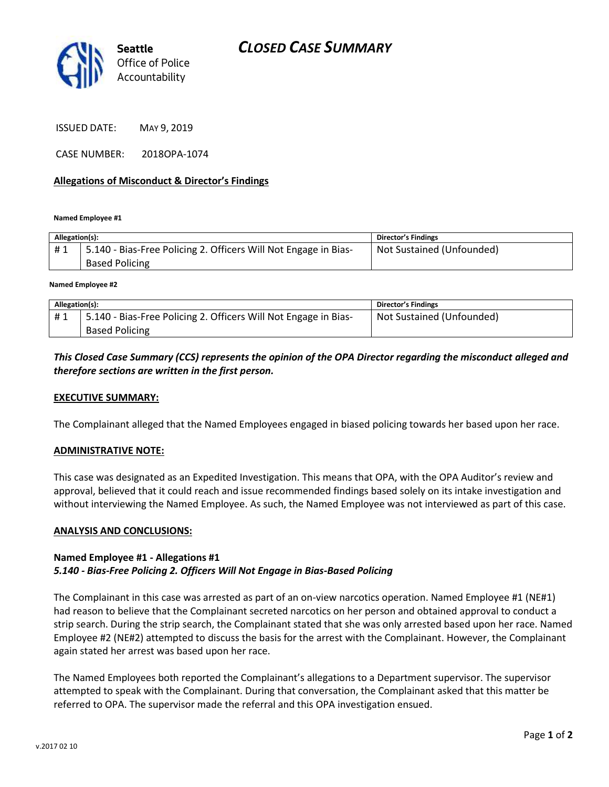

ISSUED DATE: MAY 9, 2019

CASE NUMBER: 2018OPA-1074

#### **Allegations of Misconduct & Director's Findings**

**Named Employee #1**

| Allegation(s): |                                                                                          | Director's Findings       |
|----------------|------------------------------------------------------------------------------------------|---------------------------|
| #1             | 5.140 - Bias-Free Policing 2. Officers Will Not Engage in Bias-<br><b>Based Policing</b> | Not Sustained (Unfounded) |

**Named Employee #2**

| Allegation(s): |                                                                 | Director's Findings       |
|----------------|-----------------------------------------------------------------|---------------------------|
| #1             | 5.140 - Bias-Free Policing 2. Officers Will Not Engage in Bias- | Not Sustained (Unfounded) |
|                | <b>Based Policing</b>                                           |                           |

## *This Closed Case Summary (CCS) represents the opinion of the OPA Director regarding the misconduct alleged and therefore sections are written in the first person.*

#### **EXECUTIVE SUMMARY:**

The Complainant alleged that the Named Employees engaged in biased policing towards her based upon her race.

#### **ADMINISTRATIVE NOTE:**

This case was designated as an Expedited Investigation. This means that OPA, with the OPA Auditor's review and approval, believed that it could reach and issue recommended findings based solely on its intake investigation and without interviewing the Named Employee. As such, the Named Employee was not interviewed as part of this case.

#### **ANALYSIS AND CONCLUSIONS:**

## **Named Employee #1 - Allegations #1**

## *5.140 - Bias-Free Policing 2. Officers Will Not Engage in Bias-Based Policing*

The Complainant in this case was arrested as part of an on-view narcotics operation. Named Employee #1 (NE#1) had reason to believe that the Complainant secreted narcotics on her person and obtained approval to conduct a strip search. During the strip search, the Complainant stated that she was only arrested based upon her race. Named Employee #2 (NE#2) attempted to discuss the basis for the arrest with the Complainant. However, the Complainant again stated her arrest was based upon her race.

The Named Employees both reported the Complainant's allegations to a Department supervisor. The supervisor attempted to speak with the Complainant. During that conversation, the Complainant asked that this matter be referred to OPA. The supervisor made the referral and this OPA investigation ensued.